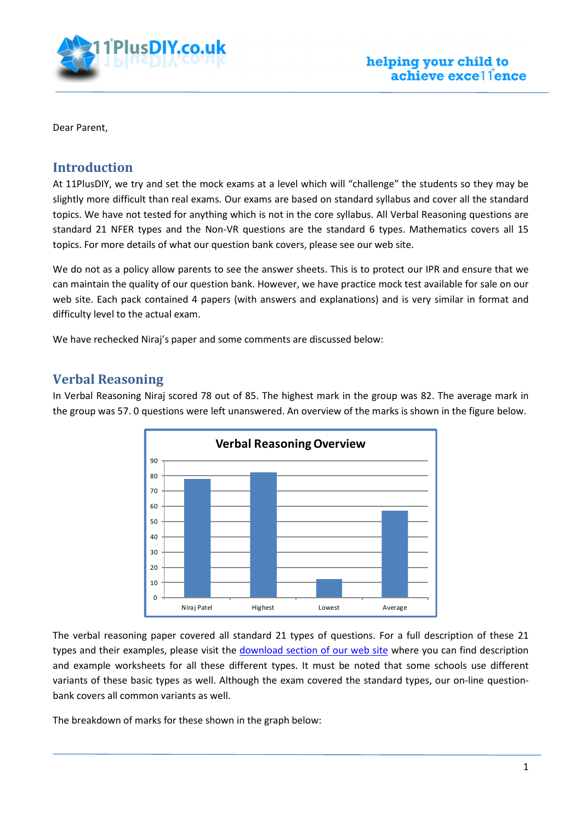

Dear Parent,

#### Introduction

At 11PlusDIY, we try and set the mock exams at a level which will "challenge" the students so they may be slightly more difficult than real exams. Our exams are based on standard syllabus and cover all the standard topics. We have not tested for anything which is not in the core syllabus. All Verbal Reasoning questions are standard 21 NFER types and the Non-VR questions are the standard 6 types. Mathematics covers all 15 topics. For more details of what our question bank covers, please see our web site.

We do not as a policy allow parents to see the answer sheets. This is to protect our IPR and ensure that we can maintain the quality of our question bank. However, we have practice mock test available for sale on our web site. Each pack contained 4 papers (with answers and explanations) and is very similar in format and difficulty level to the actual exam.

We have rechecked Niraj's paper and some comments are discussed below:

### Verbal Reasoning

In Verbal Reasoning Niraj scored 78 out of 85. The highest mark in the group was 82. The average mark in the group was 57. 0 questions were left unanswered. An overview of the marks is shown in the figure below.



The verbal reasoning paper covered all standard 21 types of questions. For a full description of these 21 types and their examples, please visit the download section of our web site where you can find description and example worksheets for all these different types. It must be noted that some schools use different variants of these basic types as well. Although the exam covered the standard types, our on-line questionbank covers all common variants as well.

The breakdown of marks for these shown in the graph below: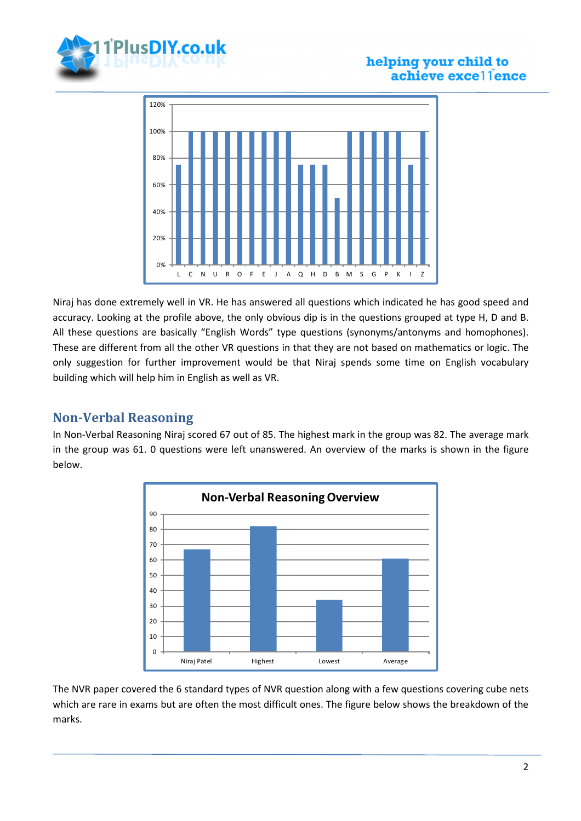

#### helping your child to achieve excel lence



Niraj has done extremely well in VR. He has answered all questions which indicated he has good speed and accuracy. Looking at the profile above, the only obvious dip is in the questions grouped at type H, D and B. All these questions are basically "English Words" type questions (synonyms/antonyms and homophones). These are different from all the other VR questions in that they are not based on mathematics or logic. The only suggestion for further improvement would be that Niraj spends some time on English vocabulary building which will help him in English as well as VR.

## Non-Verbal Reasoning

In Non-Verbal Reasoning Niraj scored 67 out of 85. The highest mark in the group was 82. The average mark in the group was 61. 0 questions were left unanswered. An overview of the marks is shown in the figure below.



The NVR paper covered the 6 standard types of NVR question along with a few questions covering cube nets which are rare in exams but are often the most difficult ones. The figure below shows the breakdown of the marks.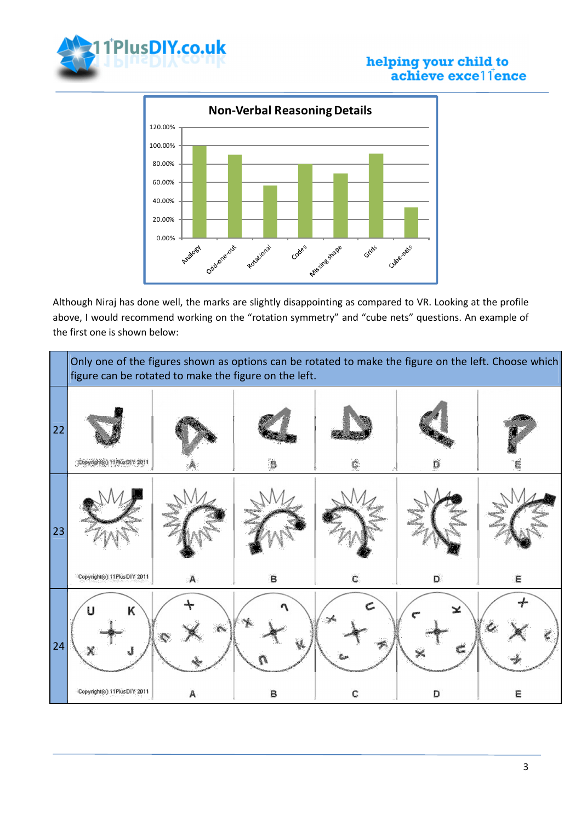

# **helping your child to**<br>achieve excellence



Although Niraj has done well, the marks are slightly disappointing as compared to VR. Looking at the profile above, I would recommend working on the "rotation symmetry" and "cube nets" questions. An example of the first one is shown below:

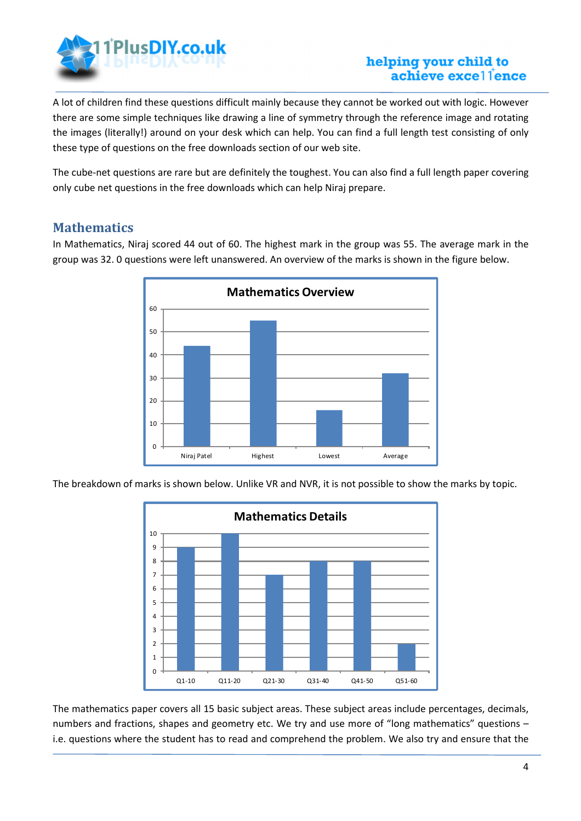

#### helping your child to achieve excel lence

A lot of children find these questions difficult mainly because they cannot be worked out with logic. However there are some simple techniques like drawing a line of symmetry through the reference image and rotating the images (literally!) around on your desk which can help. You can find a full length test consisting of only these type of questions on the free downloads section of our web site.

The cube-net questions are rare but are definitely the toughest. You can also find a full length paper covering only cube net questions in the free downloads which can help Niraj prepare.

#### **Mathematics**

In Mathematics, Niraj scored 44 out of 60. The highest mark in the group was 55. The average mark in the group was 32. 0 questions were left unanswered. An overview of the marks is shown in the figure below.



The breakdown of marks is shown below. Unlike VR and NVR, it is not possible to show the marks by topic.



The mathematics paper covers all 15 basic subject areas. These subject areas include percentages, decimals, numbers and fractions, shapes and geometry etc. We try and use more of "long mathematics" questions i.e. questions where the student has to read and comprehend the problem. We also try and ensure that the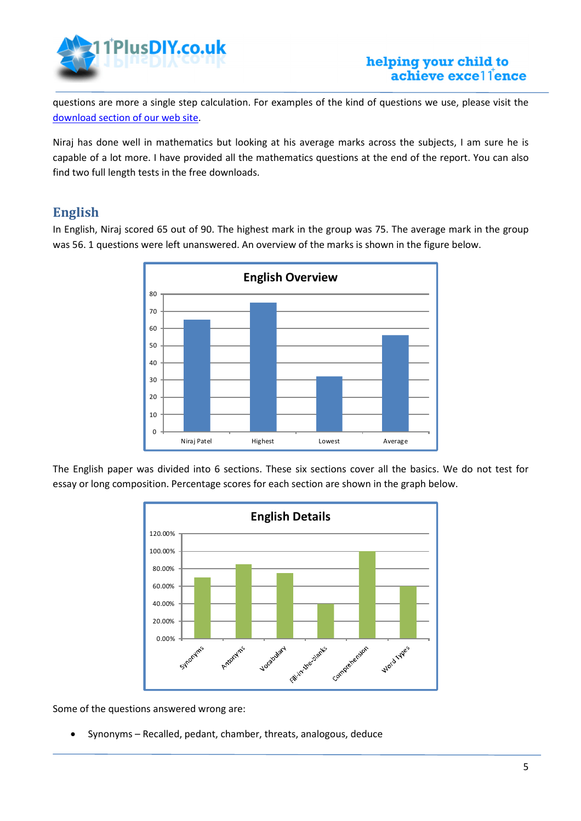

questions are more a single step calculation. For examples of the kind of questions we use, please visit the download section of our web site.

Niraj has done well in mathematics but looking at his average marks across the subjects, I am sure he is capable of a lot more. I have provided all the mathematics questions at the end of the report. You can also find two full length tests in the free downloads.

# English

In English, Niraj scored 65 out of 90. The highest mark in the group was 75. The average mark in the group was 56. 1 questions were left unanswered. An overview of the marks is shown in the figure below.



The English paper was divided into 6 sections. These six sections cover all the basics. We do not test for essay or long composition. Percentage scores for each section are shown in the graph below.



Some of the questions answered wrong are:

• Synonyms – Recalled, pedant, chamber, threats, analogous, deduce